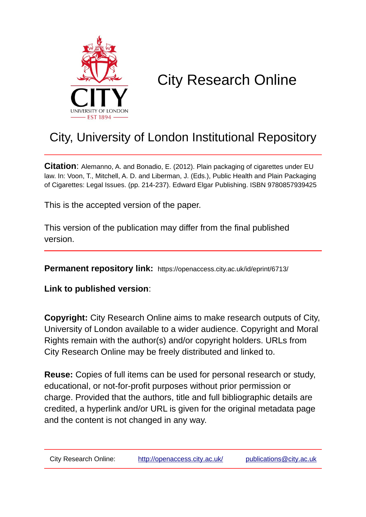

# City Research Online

# City, University of London Institutional Repository

**Citation**: Alemanno, A. and Bonadio, E. (2012). Plain packaging of cigarettes under EU law. In: Voon, T., Mitchell, A. D. and Liberman, J. (Eds.), Public Health and Plain Packaging of Cigarettes: Legal Issues. (pp. 214-237). Edward Elgar Publishing. ISBN 9780857939425

This is the accepted version of the paper.

This version of the publication may differ from the final published version.

**Permanent repository link:** https://openaccess.city.ac.uk/id/eprint/6713/

**Link to published version**:

**Copyright:** City Research Online aims to make research outputs of City, University of London available to a wider audience. Copyright and Moral Rights remain with the author(s) and/or copyright holders. URLs from City Research Online may be freely distributed and linked to.

**Reuse:** Copies of full items can be used for personal research or study, educational, or not-for-profit purposes without prior permission or charge. Provided that the authors, title and full bibliographic details are credited, a hyperlink and/or URL is given for the original metadata page and the content is not changed in any way.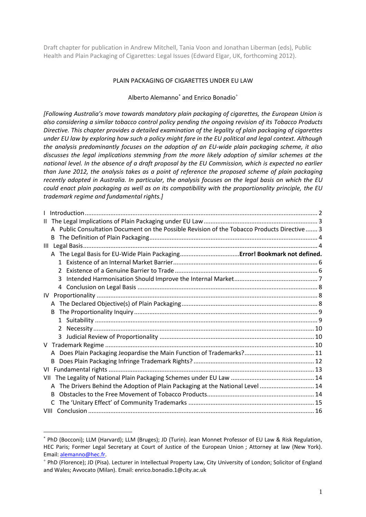Draft chapter for publication in Andrew Mitchell, Tania Voon and Jonathan Liberman (eds), Public Health and Plain Packaging of Cigarettes: Legal Issues (Edward Elgar, UK, forthcoming 2012).

#### PLAIN PACKAGING OF CIGARETTES UNDER EU LAW

# Alberto Alemanno<sup>\*</sup> and Enrico Bonadio<sup>+</sup>

*[Following Australia's move towards mandatory plain packaging of cigarettes, the European Union is also considering a similar tobacco control policy pending the ongoing revision of its Tobacco Products Directive. This chapter provides a detailed examination of the legality of plain packaging of cigarettes under EU law by exploring how such a policy might fare in the EU political and legal context. Although the analysis predominantly focuses on the adoption of an EU-wide plain packaging scheme, it also discusses the legal implications stemming from the more likely adoption of similar schemes at the national level. In the absence of a draft proposal by the EU Commission, which is expected no earlier than June 2012, the analysis takes as a point of reference the proposed scheme of plain packaging recently adopted in Australia. In particular, the analysis focuses on the legal basis on which the EU could enact plain packaging as well as on its compatibility with the proportionality principle, the EU trademark regime and fundamental rights.]*

| Ш                                                                                            |  |
|----------------------------------------------------------------------------------------------|--|
| A Public Consultation Document on the Possible Revision of the Tobacco Products Directive  3 |  |
| B                                                                                            |  |
|                                                                                              |  |
|                                                                                              |  |
|                                                                                              |  |
|                                                                                              |  |
|                                                                                              |  |
| 4                                                                                            |  |
| IV                                                                                           |  |
| A                                                                                            |  |
| B                                                                                            |  |
|                                                                                              |  |
|                                                                                              |  |
| 3                                                                                            |  |
| V                                                                                            |  |
|                                                                                              |  |
|                                                                                              |  |
| VI                                                                                           |  |
| VII                                                                                          |  |
| The Drivers Behind the Adoption of Plain Packaging at the National Level  14                 |  |
|                                                                                              |  |
|                                                                                              |  |
|                                                                                              |  |

 $\ddot{\phantom{a}}$ 

PhD (Bocconi); LLM (Harvard); LLM (Bruges); JD (Turin). Jean Monnet Professor of EU Law & Risk Regulation, HEC Paris; Former Legal Secretary at Court of Justice of the European Union ; Attorney at law (New York). Email: [alemanno@hec.fr.](mailto:alemanno@hec.fr)

<sup>&</sup>lt;sup>+</sup> PhD (Florence); JD (Pisa). Lecturer in Intellectual Property Law, City University of London; Solicitor of England and Wales; Avvocato (Milan). Email: enrico.bonadio.1@city.ac.uk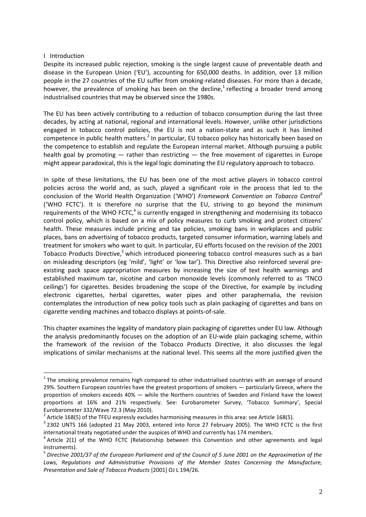# I Introduction

1

Despite its increased public rejection, smoking is the single largest cause of preventable death and disease in the European Union ('EU'), accounting for 650,000 deaths. In addition, over 13 million people in the 27 countries of the EU suffer from smoking-related diseases. For more than a decade, however, the prevalence of smoking has been on the decline,<sup>1</sup> reflecting a broader trend among industrialised countries that may be observed since the 1980s.

The EU has been actively contributing to a reduction of tobacco consumption during the last three decades, by acting at national, regional and international levels. However, unlike other jurisdictions engaged in tobacco control policies, the EU is not a nation-state and as such it has limited competence in public health matters.<sup>2</sup> In particular, EU tobacco policy has historically been based on the competence to establish and regulate the European internal market. Although pursuing a public health goal by promoting  $-$  rather than restricting  $-$  the free movement of cigarettes in Europe might appear paradoxical, this is the legal logic dominating the EU regulatory approach to tobacco.

In spite of these limitations, the EU has been one of the most active players in tobacco control policies across the world and, as such, played a significant role in the process that led to the conclusion of the World Health Organization ('WHO') *Framework Convention on Tobacco Control*<sup>3</sup> ('WHO FCTC'). It is therefore no surprise that the EU, striving to go beyond the minimum requirements of the WHO FCTC,<sup>4</sup> is currently engaged in strengthening and modernising its tobacco control policy, which is based on a mix of policy measures to curb smoking and protect citizens' health. These measures include pricing and tax policies, smoking bans in workplaces and public places, bans on advertising of tobacco products, targeted consumer information, warning labels and treatment for smokers who want to quit. In particular, EU efforts focused on the revision of the 2001 Tobacco Products Directive,<sup>5</sup> which introduced pioneering tobacco control measures such as a ban on misleading descriptors (eg 'mild', 'light' or 'low tar'). This Directive also reinforced several preexisting pack space appropriation measures by increasing the size of text health warnings and established maximum tar, nicotine and carbon monoxide levels (commonly referred to as 'TNCO ceilings') for cigarettes. Besides broadening the scope of the Directive, for example by including electronic cigarettes, herbal cigarettes, water pipes and other paraphernalia, the revision contemplates the introduction of new policy tools such as plain packaging of cigarettes and bans on cigarette vending machines and tobacco displays at points-of-sale.

This chapter examines the legality of mandatory plain packaging of cigarettes under EU law. Although the analysis predominantly focuses on the adoption of an EU-wide plain packaging scheme, within the framework of the revision of the Tobacco Products Directive, it also discusses the legal implications of similar mechanisms at the national level. This seems all the more justified given the

 $1$ The smoking prevalence remains high compared to other industrialised countries with an average of around 29%. Southern European countries have the greatest proportions of smokers — particularly Greece, where the proportion of smokers exceeds 40% — while the Northern countries of Sweden and Finland have the lowest proportions at 16% and 21% respectively. See: Eurobarometer Survey, 'Tobacco Summary', Special Eurobarometer 332/Wave 72.3 (May 2010).

<sup>&</sup>lt;sup>2</sup> Article 168(5) of the TFEU expressly excludes harmonising measures in this area: see Article 168(5).

 $3$  2302 UNTS 166 (adopted 21 May 2003, entered into force 27 February 2005). The WHO FCTC is the first international treaty negotiated under the auspices of WHO and currently has 174 members.

 $4$  Article 2(1) of the WHO FCTC (Relationship between this Convention and other agreements and legal instruments).

<sup>5</sup> *Directive 2001/37 of the European Parliament and of the Council of 5 June 2001 on the Approximation of the Laws, Regulations and Administrative Provisions of the Member States Concerning the Manufacture, Presentation and Sale of Tobacco Products* [2001] OJ L 194/26.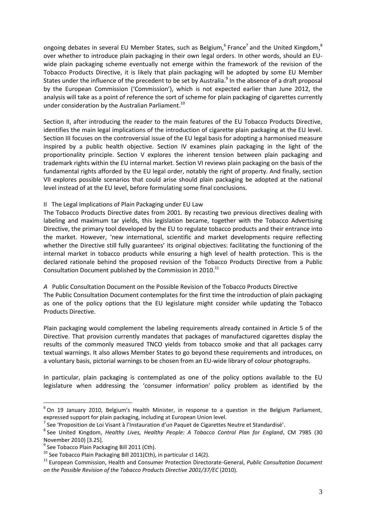ongoing debates in several EU Member States, such as Belgium,  $6$  France<sup>7</sup> and the United Kingdom,  $8$ over whether to introduce plain packaging in their own legal orders. In other words, should an EUwide plain packaging scheme eventually not emerge within the framework of the revision of the Tobacco Products Directive, it is likely that plain packaging will be adopted by some EU Member States under the influence of the precedent to be set by Australia.<sup>9</sup> In the absence of a draft proposal by the European Commission ('Commission'), which is not expected earlier than June 2012, the analysis will take as a point of reference the sort of scheme for plain packaging of cigarettes currently under consideration by the Australian Parliament.<sup>10</sup>

Section II, after introducing the reader to the main features of the EU Tobacco Products Directive, identifies the main legal implications of the introduction of cigarette plain packaging at the EU level. Section III focuses on the controversial issue of the EU legal basis for adopting a harmonised measure inspired by a public health objective. Section IV examines plain packaging in the light of the proportionality principle. Section V explores the inherent tension between plain packaging and trademark rights within the EU internal market. Section VI reviews plain packaging on the basis of the fundamental rights afforded by the EU legal order, notably the right of property. And finally, section VII explores possible scenarios that could arise should plain packaging be adopted at the national level instead of at the EU level, before formulating some final conclusions.

# II The Legal Implications of Plain Packaging under EU Law

The Tobacco Products Directive dates from 2001. By recasting two previous directives dealing with labeling and maximum tar yields, this legislation became, together with the Tobacco Advertising Directive, the primary tool developed by the EU to regulate tobacco products and their entrance into the market. However, 'new international, scientific and market developments require reflecting whether the Directive still fully guarantees' its original objectives: facilitating the functioning of the internal market in tobacco products while ensuring a high level of health protection. This is the declared rationale behind the proposed revision of the Tobacco Products Directive from a Public Consultation Document published by the Commission in 2010.<sup>11</sup>

*A* Public Consultation Document on the Possible Revision of the Tobacco Products Directive The Public Consultation Document contemplates for the first time the introduction of plain packaging as one of the policy options that the EU legislature might consider while updating the Tobacco Products Directive.

Plain packaging would complement the labeling requirements already contained in Article 5 of the Directive. That provision currently mandates that packages of manufactured cigarettes display the results of the commonly measured TNCO yields from tobacco smoke and that all packages carry textual warnings. It also allows Member States to go beyond these requirements and introduces, on a voluntary basis, pictorial warnings to be chosen from an EU-wide library of colour photographs.

In particular, plain packaging is contemplated as one of the policy options available to the EU legislature when addressing the 'consumer information' policy problem as identified by the

 $\overline{a}$ 

 $6$  On 19 January 2010, Belgium's Health Minister, in response to a question in the Belgium Parliament, expressed support for plain packaging, including at European Union level.

<sup>&</sup>lt;sup>7</sup> See 'Proposition de Loi Visant à l'Instauration d'un Paquet de Cigarettes Neutre et Standardisé'.

<sup>8</sup> See United Kingdom, *Healthy Lives, Healthy People: A Tobacco Control Plan for England*, CM 7985 (30 November 2010) [3.25].

<sup>&</sup>lt;sup>9</sup> See Tobacco Plain Packaging Bill 2011 (Cth).

<sup>&</sup>lt;sup>10</sup> See Tobacco Plain Packaging Bill 2011(Cth), in particular cl 14(2).

<sup>11</sup> European Commission, Health and Consumer Protection Directorate-General, *Public Consultation Document on the Possible Revision of the Tobacco Products Directive 2001/37/EC* (2010).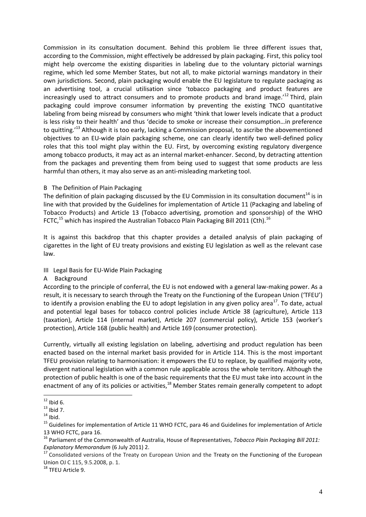Commission in its consultation document. Behind this problem lie three different issues that, according to the Commission, might effectively be addressed by plain packaging. First, this policy tool might help overcome the existing disparities in labeling due to the voluntary pictorial warnings regime, which led some Member States, but not all, to make pictorial warnings mandatory in their own jurisdictions. Second, plain packaging would enable the EU legislature to regulate packaging as an advertising tool, a crucial utilisation since 'tobacco packaging and product features are increasingly used to attract consumers and to promote products and brand image.<sup>12</sup> Third, plain packaging could improve consumer information by preventing the existing TNCO quantitative labeling from being misread by consumers who might 'think that lower levels indicate that a product is less risky to their health' and thus 'decide to smoke or increase their consumption…in preference to quitting.'<sup>13</sup> Although it is too early, lacking a Commission proposal, to ascribe the abovementioned objectives to an EU-wide plain packaging scheme, one can clearly identify two well-defined policy roles that this tool might play within the EU. First, by overcoming existing regulatory divergence among tobacco products, it may act as an internal market-enhancer. Second, by detracting attention from the packages and preventing them from being used to suggest that some products are less harmful than others, it may also serve as an anti-misleading marketing tool.

# B The Definition of Plain Packaging

The definition of plain packaging discussed by the EU Commission in its consultation document<sup>14</sup> is in line with that provided by the Guidelines for implementation of Article 11 (Packaging and labeling of Tobacco Products) and Article 13 (Tobacco advertising, promotion and sponsorship) of the WHO FCTC,<sup>15</sup> which has inspired the Australian Tobacco Plain Packaging Bill 2011 (Cth).<sup>16</sup>

It is against this backdrop that this chapter provides a detailed analysis of plain packaging of cigarettes in the light of EU treaty provisions and existing EU legislation as well as the relevant case law.

- III Legal Basis for EU-Wide Plain Packaging
- A Background

According to the principle of conferral, the EU is not endowed with a general law-making power. As a result, it is necessary to search through the Treaty on the Functioning of the European Union ('TFEU') to identify a provision enabling the EU to adopt legislation in any given policy area<sup>17</sup>. To date, actual and potential legal bases for tobacco control policies include Article 38 (agriculture), Article 113 (taxation), Article 114 (internal market), Article 207 (commercial policy), Article 153 (worker's protection), Article 168 (public health) and Article 169 (consumer protection).

Currently, virtually all existing legislation on labeling, advertising and product regulation has been enacted based on the internal market basis provided for in Article 114. This is the most important TFEU provision relating to harmonisation: it empowers the EU to replace, by qualified majority vote, divergent national legislation with a common rule applicable across the whole territory. Although the protection of public health is one of the basic requirements that the EU must take into account in the enactment of any of its policies or activities,<sup>18</sup> Member States remain generally competent to adopt

<sup>18</sup> TFEU Article 9.

 $\ddot{\phantom{a}}$  $12$  Ibid 6.

 $13$  Ibid 7.

 $14$  Ibid.

<sup>&</sup>lt;sup>15</sup> Guidelines for implementation of Article 11 WHO FCTC, para 46 and Guidelines for implementation of Article 13 WHO FCTC, para 16.

<sup>16</sup> Parliament of the Commonwealth of Australia, House of Representatives, *Tobacco Plain Packaging Bill 2011: Explanatory Memorandum* (6 July 2011) 2.

<sup>&</sup>lt;sup>17</sup> Consolidated versions of the Treaty on European Union and the Treaty on the Functioning of the European Union OJ C 115, 9.5.2008, p. 1.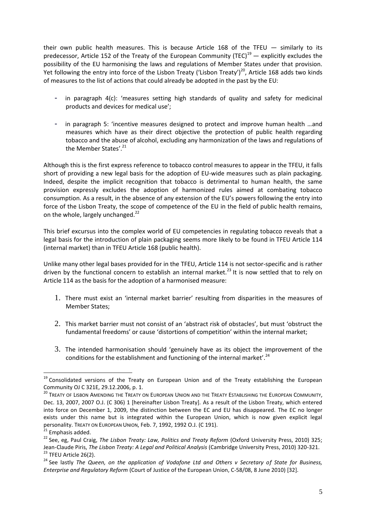their own public health measures. This is because Article 168 of the TFEU  $-$  similarly to its predecessor, Article 152 of the Treaty of the European Community (TEC)<sup>19</sup> — explicitly excludes the possibility of the EU harmonising the laws and regulations of Member States under that provision. Yet following the entry into force of the Lisbon Treaty ('Lisbon Treaty')<sup>20</sup>, Article 168 adds two kinds of measures to the list of actions that could already be adopted in the past by the EU:

- in paragraph  $4(c)$ : 'measures setting high standards of quality and safety for medicinal products and devices for medical use';
- in paragraph 5: 'incentive measures designed to protect and improve human health ...and measures which have as their direct objective the protection of public health regarding tobacco and the abuse of alcohol, excluding any harmonization of the laws and regulations of the Member States'.<sup>21</sup>

Although this is the first express reference to tobacco control measures to appear in the TFEU, it falls short of providing a new legal basis for the adoption of EU-wide measures such as plain packaging. Indeed, despite the implicit recognition that tobacco is detrimental to human health, the same provision expressly excludes the adoption of harmonized rules aimed at combating tobacco consumption. As a result, in the absence of any extension of the EU's powers following the entry into force of the Lisbon Treaty, the scope of competence of the EU in the field of public health remains, on the whole, largely unchanged.<sup>22</sup>

This brief excursus into the complex world of EU competencies in regulating tobacco reveals that a legal basis for the introduction of plain packaging seems more likely to be found in TFEU Article 114 (internal market) than in TFEU Article 168 (public health).

Unlike many other legal bases provided for in the TFEU, Article 114 is not sector-specific and is rather driven by the functional concern to establish an internal market.<sup>23</sup> It is now settled that to rely on Article 114 as the basis for the adoption of a harmonised measure:

- 1. There must exist an 'internal market barrier' resulting from disparities in the measures of Member States;
- 2. This market barrier must not consist of an 'abstract risk of obstacles', but must 'obstruct the fundamental freedoms' or cause 'distortions of competition' within the internal market;
- 3. The intended harmonisation should 'genuinely have as its object the improvement of the conditions for the establishment and functioning of the internal market'.<sup>24</sup>

<sup>&</sup>lt;sup>19</sup> Consolidated versions of the Treaty on European Union and of the Treaty establishing the European Community OJ C 321E, 29.12.2006, p. 1.

<sup>&</sup>lt;sup>20</sup> Treaty of Lisbon Amending the Treaty on European Union and the Treaty Establishing the European Community, Dec. 13, 2007, 2007 O.J. (C 306) 1 [hereinafter Lisbon Treaty]. As a result of the Lisbon Treaty, which entered into force on December 1, 2009, the distinction between the EC and EU has disappeared. The EC no longer exists under this name but is integrated within the European Union, which is now given explicit legal personality. TREATY ON EUROPEAN UNION, Feb. 7, 1992, 1992 O.J. (C 191).

 $21$  Emphasis added.

<sup>22</sup> See, eg, Paul Craig, *The Lisbon Treaty: Law, Politics and Treaty Reform* (Oxford University Press, 2010) 325; Jean-Claude Piris, *The Lisbon Treaty: A Legal and Political Analysis* (Cambridge University Press, 2010) 320-321.  $23$  TFEU Article 26(2).

<sup>&</sup>lt;sup>24</sup> See lastly *The Queen, on the application of Vodafone Ltd and Others v Secretary of State for Business, Enterprise and Regulatory Reform* (Court of Justice of the European Union, C-58/08, 8 June 2010) [32].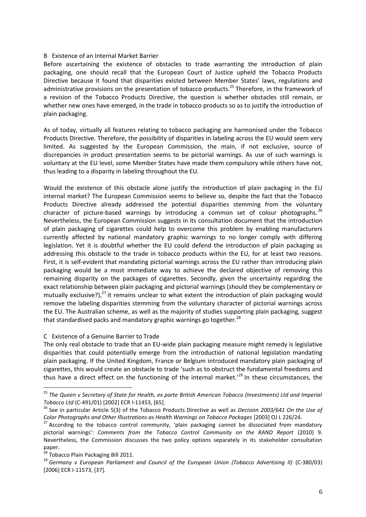#### B Existence of an Internal Market Barrier

Before ascertaining the existence of obstacles to trade warranting the introduction of plain packaging, one should recall that the European Court of Justice upheld the Tobacco Products Directive because it found that disparities existed between Member States' laws, regulations and administrative provisions on the presentation of tobacco products.<sup>25</sup> Therefore, in the framework of a revision of the Tobacco Products Directive, the question is whether obstacles still remain, or whether new ones have emerged, in the trade in tobacco products so as to justify the introduction of plain packaging.

As of today, virtually all features relating to tobacco packaging are harmonised under the Tobacco Products Directive. Therefore, the possibility of disparities in labeling across the EU would seem very limited. As suggested by the European Commission, the main, if not exclusive, source of discrepancies in product presentation seems to be pictorial warnings. As use of such warnings is voluntary at the EU level, some Member States have made them compulsory while others have not, thus leading to a disparity in labeling throughout the EU.

Would the existence of this obstacle alone justify the introduction of plain packaging in the EU internal market? The European Commission seems to believe so, despite the fact that the Tobacco Products Directive already addressed the potential disparities stemming from the voluntary character of picture-based warnings by introducing a common set of colour photographs.<sup>26</sup> Nevertheless, the European Commission suggests in its consultation document that the introduction of plain packaging of cigarettes could help to overcome this problem by enabling manufacturers currently affected by national mandatory graphic warnings to no longer comply with differing legislation. Yet it is doubtful whether the EU could defend the introduction of plain packaging as addressing this obstacle to the trade in tobacco products within the EU, for at least two reasons. First, it is self-evident that mandating pictorial warnings across the EU rather than introducing plain packaging would be a most immediate way to achieve the declared objective of removing this remaining disparity on the packages of cigarettes. Secondly, given the uncertainty regarding the exact relationship between plain packaging and pictorial warnings (should they be complementary or mutually exclusive?), $^{27}$  it remains unclear to what extent the introduction of plain packaging would remove the labeling disparities stemming from the voluntary character of pictorial warnings across the EU. The Australian scheme, as well as the majority of studies supporting plain packaging, suggest that standardised packs and mandatory graphic warnings go together.<sup>28</sup>

#### C Existence of a Genuine Barrier to Trade

The only real obstacle to trade that an EU-wide plain packaging measure might remedy is legislative disparities that could potentially emerge from the introduction of national legislation mandating plain packaging. If the United Kingdom, France or Belgium introduced mandatory plain packaging of cigarettes, this would create an obstacle to trade 'such as to obstruct the fundamental freedoms and thus have a direct effect on the functioning of the internal market.<sup>29</sup> In these circumstances, the

<sup>&</sup>lt;sup>25</sup> The Queen v Secretary of State for Health, ex parte British American Tobacco (Investments) Ltd and Imperial *Tobacco Ltd* (C-491/01) [2002] ECR I-11453, [65].

<sup>26</sup> See in particular Article 5(3) of the Tobacco Products Directive as well as *Decision 2003/641 On the Use of Color Photographs and Other Illustrations as Health Warnings on Tobacco Packages* [2003] OJ L 226/24.

<sup>&</sup>lt;sup>27</sup> According to the tobacco control community, 'plain packaging cannot be dissociated from mandatory pictorial warnings': *Comments from the Tobacco Control Community on the RAND Report* (2010) 9. Nevertheless, the Commission discusses the two policy options separately in its stakeholder consultation paper.

<sup>&</sup>lt;sup>28</sup> Tobacco Plain Packaging Bill 2011.

<sup>29</sup> *Germany v European Parliament and Council of the European Union (Tobacco Advertising II)* (C-380/03) [2006] ECR I-11573, [37].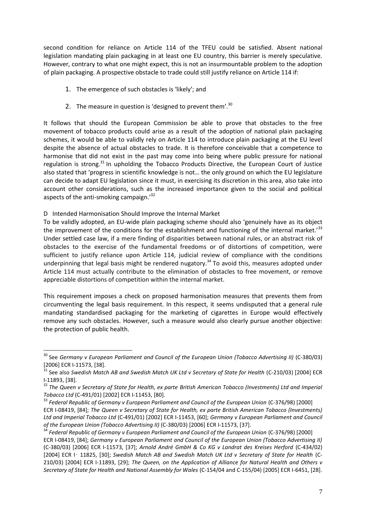second condition for reliance on Article 114 of the TFEU could be satisfied. Absent national legislation mandating plain packaging in at least one EU country, this barrier is merely speculative. However, contrary to what one might expect, this is not an insurmountable problem to the adoption of plain packaging. A prospective obstacle to trade could still justify reliance on Article 114 if:

- 1. The emergence of such obstacles is 'likely'; and
- 2. The measure in question is 'designed to prevent them'. $30$

It follows that should the European Commission be able to prove that obstacles to the free movement of tobacco products could arise as a result of the adoption of national plain packaging schemes, it would be able to validly rely on Article 114 to introduce plain packaging at the EU level despite the absence of actual obstacles to trade. It is therefore conceivable that a competence to harmonise that did not exist in the past may come into being where public pressure for national regulation is strong.<sup>31</sup> In upholding the Tobacco Products Directive, the European Court of Justice also stated that 'progress in scientific knowledge is not… the only ground on which the EU legislature can decide to adapt EU legislation since it must, in exercising its discretion in this area, also take into account other considerations, such as the increased importance given to the social and political aspects of the anti-smoking campaign.<sup>32</sup>

D Intended Harmonisation Should Improve the Internal Market

 $\ddot{\phantom{a}}$ 

To be validly adopted, an EU-wide plain packaging scheme should also 'genuinely have as its object the improvement of the conditions for the establishment and functioning of the internal market.<sup>33</sup> Under settled case law, if a mere finding of disparities between national rules, or an abstract risk of obstacles to the exercise of the fundamental freedoms or of distortions of competition, were sufficient to justify reliance upon Article 114, judicial review of compliance with the conditions underpinning that legal basis might be rendered nugatory.<sup>34</sup> To avoid this, measures adopted under Article 114 must actually contribute to the elimination of obstacles to free movement, or remove appreciable distortions of competition within the internal market.

This requirement imposes a check on proposed harmonisation measures that prevents them from circumventing the legal basis requirement. In this respect, it seems undisputed that a general rule mandating standardised packaging for the marketing of cigarettes in Europe would effectively remove any such obstacles. However, such a measure would also clearly pursue another objective: the protection of public health.

<sup>30</sup> See *Germany v European Parliament and Council of the European Union (Tobacco Advertising II)* (C-380/03) [2006] ECR I-11573, [38].

<sup>&</sup>lt;sup>31</sup> See also Swedish Match AB and Swedish Match UK Ltd v Secretary of State for Health (C-210/03) [2004] ECR I-11893, [38].

<sup>&</sup>lt;sup>32</sup> The Queen v Secretary of State for Health, ex parte British American Tobacco (Investments) Ltd and Imperial *Tobacco Ltd* (C-491/01) [2002] ECR I-11453, [80].

<sup>&</sup>lt;sup>33</sup> Federal Republic of Germany v European Parliament and Council of the European Union (C-376/98) [2000] ECR I-08419, [84]; *The Queen v Secretary of State for Health, ex parte British American Tobacco (Investments) Ltd and Imperial Tobacco Ltd* (C-491/01) [2002] ECR I-11453, [60]; *Germany v European Parliament and Council of the European Union (Tobacco Advertising II)* (C-380/03) [2006] ECR I-11573, [37].

<sup>&</sup>lt;sup>34</sup> Federal Republic of Germany v European Parliament and Council of the European Union (C-376/98) [2000] ECR I-08419, [84]; *Germany v European Parliament and Council of the European Union (Tobacco Advertising II)* (C-380/03) [2006] ECR I-11573, [37]; *Arnold André GmbH & Co KG v Landrat des Kreises Herford* (C-434/02) [2004] ECR I<sup>-</sup> 11825, [30]; *Swedish Match AB and Swedish Match UK Ltd v Secretary of State for Health* (C-210/03) [2004] ECR I-11893, [29]; *The Queen, on the Application of Alliance for Natural Health and Others v Secretary of State for Health and National Assembly for Wales* (C-154/04 and C-155/04) [2005] ECR I-6451, [28].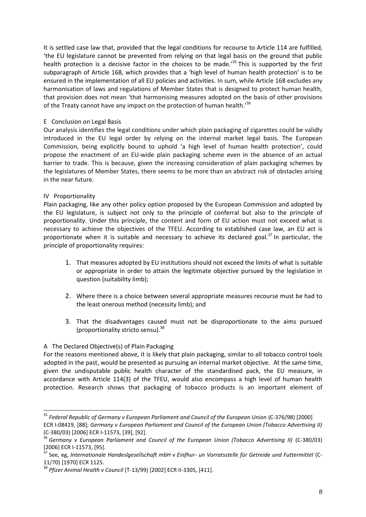It is settled case law that, provided that the legal conditions for recourse to Article 114 are fulfilled, 'the EU legislature cannot be prevented from relying on that legal basis on the ground that public health protection is a decisive factor in the choices to be made.<sup>35</sup> This is supported by the first subparagraph of Article 168, which provides that a 'high level of human health protection' is to be ensured in the implementation of all EU policies and activities. In sum, while Article 168 excludes any harmonisation of laws and regulations of Member States that is designed to protect human health, that provision does not mean 'that harmonising measures adopted on the basis of other provisions of the Treaty cannot have any impact on the protection of human health.<sup>36</sup>

# E Conclusion on Legal Basis

Our analysis identifies the legal conditions under which plain packaging of cigarettes could be validly introduced in the EU legal order by relying on the internal market legal basis. The European Commission, being explicitly bound to uphold 'a high level of human health protection', could propose the enactment of an EU-wide plain packaging scheme even in the absence of an actual barrier to trade. This is because, given the increasing consideration of plain packaging schemes by the legislatures of Member States, there seems to be more than an abstract risk of obstacles arising in the near future.

# IV Proportionality

1

Plain packaging, like any other policy option proposed by the European Commission and adopted by the EU legislature, is subject not only to the principle of conferral but also to the principle of proportionality. Under this principle, the content and form of EU action must not exceed what is necessary to achieve the objectives of the TFEU. According to established case law, an EU act is proportionate when it is suitable and necessary to achieve its declared goal.<sup>37</sup> In particular, the principle of proportionality requires:

- 1. That measures adopted by EU institutions should not exceed the limits of what is suitable or appropriate in order to attain the legitimate objective pursued by the legislation in question (suitability limb);
- 2. Where there is a choice between several appropriate measures recourse must be had to the least onerous method (necessity limb); and
- 3. That the disadvantages caused must not be disproportionate to the aims pursued (proportionality stricto sensu).<sup>38</sup>

# A The Declared Objective(s) of Plain Packaging

For the reasons mentioned above, it is likely that plain packaging, similar to all tobacco control tools adopted in the past, would be presented as pursuing an internal market objective. At the same time, given the undisputable public health character of the standardised pack, the EU measure, in accordance with Article 114(3) of the TFEU, would also encompass a high level of human health protection. Research shows that packaging of tobacco products is an important element of

<sup>&</sup>lt;sup>35</sup> Federal Republic of Germany v European Parliament and Council of the European Union (C-376/98) [2000] ECR I-08419, [88]; *Germany v European Parliament and Council of the European Union (Tobacco Advertising II)* (C-380/03) [2006] ECR I-11573, [39], [92].

<sup>36</sup> *Germany v European Parliament and Council of the European Union (Tobacco Advertising II)* (C-380/03) [2006] ECR I-11573, [95].

<sup>37</sup> See, eg, *Internationale Handeslgesellschaft mbH v Einfhur- un Vorratsstelle für Getreide und Futtermittel* (C-11/70) [1970] ECR 1125.

<sup>38</sup> *Pfizer Animal Health v Council* (T-13/99) [2002] ECR II-3305, [411].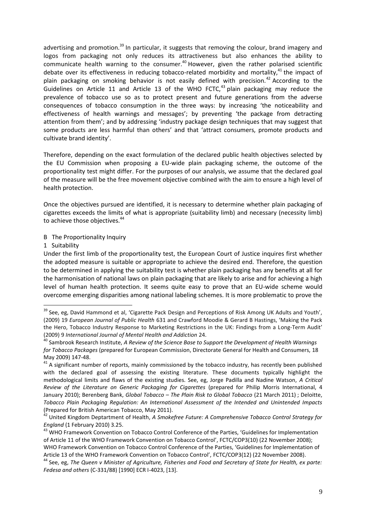advertising and promotion.<sup>39</sup> In particular, it suggests that removing the colour, brand imagery and logos from packaging not only reduces its attractiveness but also enhances the ability to communicate health warning to the consumer.<sup>40</sup> However, given the rather polarised scientific debate over its effectiveness in reducing tobacco-related morbidity and mortality, $41$  the impact of plain packaging on smoking behavior is not easily defined with precision.<sup>42</sup> According to the Guidelines on Article 11 and Article 13 of the WHO FCTC,<sup>43</sup> plain packaging may reduce the prevalence of tobacco use so as to protect present and future generations from the adverse consequences of tobacco consumption in the three ways: by increasing 'the noticeability and effectiveness of health warnings and messages'; by preventing 'the package from detracting attention from them'; and by addressing 'industry package design techniques that may suggest that some products are less harmful than others' and that 'attract consumers, promote products and cultivate brand identity'.

Therefore, depending on the exact formulation of the declared public health objectives selected by the EU Commission when proposing a EU-wide plain packaging scheme, the outcome of the proportionality test might differ. For the purposes of our analysis, we assume that the declared goal of the measure will be the free movement objective combined with the aim to ensure a high level of health protection.

Once the objectives pursued are identified, it is necessary to determine whether plain packaging of cigarettes exceeds the limits of what is appropriate (suitability limb) and necessary (necessity limb) to achieve those objectives.<sup>44</sup>

# B The Proportionality Inquiry

1 Suitability

1

Under the first limb of the proportionality test, the European Court of Justice inquires first whether the adopted measure is suitable or appropriate to achieve the desired end. Therefore, the question to be determined in applying the suitability test is whether plain packaging has any benefits at all for the harmonisation of national laws on plain packaging that are likely to arise and for achieving a high level of human health protection. It seems quite easy to prove that an EU-wide scheme would overcome emerging disparities among national labeling schemes. It is more problematic to prove the

<sup>&</sup>lt;sup>39</sup> See, eg, David Hammond et al, 'Cigarette Pack Design and Perceptions of Risk Among UK Adults and Youth', (2009) 19 *European Journal of Public Health* 631 and Crawford Moodie & Gerard B Hastings, 'Making the Pack the Hero, Tobacco Industry Response to Marketing Restrictions in the UK: Findings from a Long-Term Audit' (2009) 9 *International Journal of Mental Health and Addiction* 24.

<sup>40</sup> Sambrook Research Institute, *A Review of the Science Base to Support the Development of Health Warnings for Tobacco Packages* (prepared for European Commission, Directorate General for Health and Consumers, 18 May 2009) 147-48.

 $41$  A significant number of reports, mainly commissioned by the tobacco industry, has recently been published with the declared goal of assessing the existing literature. These documents typically highlight the methodological limits and flaws of the existing studies. See, eg, Jorge Padilla and Nadine Watson, *A Critical Review of the Literature on Generic Packaging for Cigarettes* (prepared for Philip Morris International, 4 January 2010); Berenberg Bank, *Global Tobacco – The Plain Risk to Global Tobacco* (21 March 2011) ; Deloitte, *Tobacco Plain Packaging Regulation: An International Assessment of the Intended and Unintended Impacts* (Prepared for British American Tobacco, May 2011).

<sup>42</sup> United Kingdom Deptartment of Health, *A Smokefree Future: A Comprehensive Tobacco Control Strategy for England* (1 February 2010) 3.25.

<sup>&</sup>lt;sup>43</sup> WHO Framework Convention on Tobacco Control Conference of the Parties, 'Guidelines for Implementation of Article 11 of the WHO Framework Convention on Tobacco Control', FCTC/COP3(10) (22 November 2008); WHO Framework Convention on Tobacco Control Conference of the Parties, 'Guidelines for Implementation of Article 13 of the WHO Framework Convention on Tobacco Control', FCTC/COP3(12) (22 November 2008).

<sup>44</sup> See, eg, *The Queen v Minister of Agriculture, Fisheries and Food and Secretary of State for Health, ex parte: Fedesa and others* (C-331/88) [1990] ECR I-4023, [13].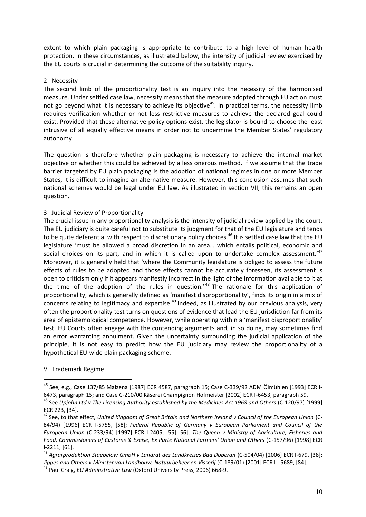extent to which plain packaging is appropriate to contribute to a high level of human health protection. In these circumstances, as illustrated below, the intensity of judicial review exercised by the EU courts is crucial in determining the outcome of the suitability inquiry.

# 2 Necessity

The second limb of the proportionality test is an inquiry into the necessity of the harmonised measure. Under settled case law, necessity means that the measure adopted through EU action must not go beyond what it is necessary to achieve its objective<sup>45</sup>. In practical terms, the necessity limb requires verification whether or not less restrictive measures to achieve the declared goal could exist. Provided that these alternative policy options exist, the legislator is bound to choose the least intrusive of all equally effective means in order not to undermine the Member States' regulatory autonomy.

The question is therefore whether plain packaging is necessary to achieve the internal market objective or whether this could be achieved by a less onerous method. If we assume that the trade barrier targeted by EU plain packaging is the adoption of national regimes in one or more Member States, it is difficult to imagine an alternative measure. However, this conclusion assumes that such national schemes would be legal under EU law. As illustrated in section VII, this remains an open question.

# 3 Judicial Review of Proportionality

The crucial issue in any proportionality analysis is the intensity of judicial review applied by the court. The EU judiciary is quite careful not to substitute its judgment for that of the EU legislature and tends to be quite deferential with respect to discretionary policy choices.<sup>46</sup> It is settled case law that the EU legislature 'must be allowed a broad discretion in an area… which entails political, economic and social choices on its part, and in which it is called upon to undertake complex assessment.<sup>147</sup> Moreover, it is generally held that 'where the Community legislature is obliged to assess the future effects of rules to be adopted and those effects cannot be accurately foreseen, its assessment is open to criticism only if it appears manifestly incorrect in the light of the information available to it at the time of the adoption of the rules in question.<sup>'48</sup> The rationale for this application of proportionality, which is generally defined as 'manifest disproportionality', finds its origin in a mix of concerns relating to legitimacy and expertise.<sup>49</sup> Indeed, as illustrated by our previous analysis, very often the proportionality test turns on questions of evidence that lead the EU jurisdiction far from its area of epistemological competence. However, while operating within a 'manifest disproportionality' test, EU Courts often engage with the contending arguments and, in so doing, may sometimes find an error warranting annulment. Given the uncertainty surrounding the judicial application of the principle, it is not easy to predict how the EU judiciary may review the proportionality of a hypothetical EU-wide plain packaging scheme.

#### V Trademark Regime

<sup>45</sup> See, e.g., Case 137/85 Maizena [1987] ECR 4587, paragraph 15; Case C-339/92 ADM Ölmühlen [1993] ECR I-6473, paragraph 15; and Case C-210/00 Käserei Champignon Hofmeister [2002] ECR I-6453, paragraph 59.

<sup>46</sup> See *Upjohn Ltd v The Licensing Authority established by the Medicines Act 1968 and Others* (C-120/97) [1999] ECR 223, [34].

<sup>47</sup> See, to that effect, *United Kingdom of Great Britain and Northern Ireland v Council of the European Union* (C-84/94) [1996] ECR I-5755, [58]; *Federal Republic of Germany v European Parliament and Council of the European Union* (C-233/94) [1997] ECR I-2405, [55]-[56]; *The Queen v Ministry of Agriculture, Fisheries and Food, Commissioners of Customs & Excise, Ex Parte National Farmers' Union and Others* (C-157/96) [1998] ECR I-2211, [61].

<sup>&</sup>lt;sup>48</sup> Agrarproduktion Staebelow GmbH v Landrat des Landkreises Bad Doberan (C-504/04) [2006] ECR I-679, [38]; *Jippes and Others v Minister van Landbouw, Natuurbeheer en Visserij* (C-189/01) [2001] ECR I‑ 5689, [84].

Paul Craig, *EU Adminstrative Law* (Oxford University Press, 2006) 668-9.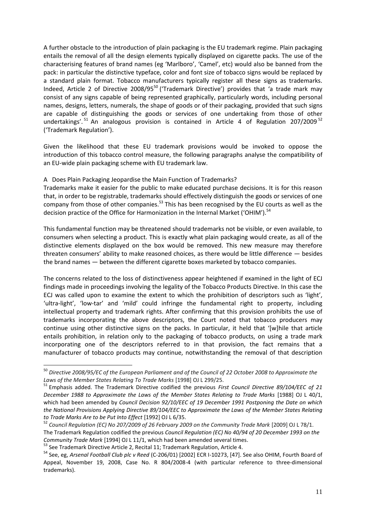A further obstacle to the introduction of plain packaging is the EU trademark regime. Plain packaging entails the removal of all the design elements typically displayed on cigarette packs. The use of the characterising features of brand names (eg 'Marlboro', 'Camel', etc) would also be banned from the pack: in particular the distinctive typeface, color and font size of tobacco signs would be replaced by a standard plain format. Tobacco manufacturers typically register all these signs as trademarks. Indeed, Article 2 of Directive  $2008/95^{50}$  ('Trademark Directive') provides that 'a trade mark may consist of any signs capable of being represented graphically, particularly words, including personal names, designs, letters, numerals, the shape of goods or of their packaging, provided that such signs are capable of distinguishing the goods or services of one undertaking from those of other undertakings'.<sup>51</sup> An analogous provision is contained in Article 4 of Regulation 207/2009<sup>52</sup> ('Trademark Regulation').

Given the likelihood that these EU trademark provisions would be invoked to oppose the introduction of this tobacco control measure, the following paragraphs analyse the compatibility of an EU-wide plain packaging scheme with EU trademark law.

# A Does Plain Packaging Jeopardise the Main Function of Trademarks?

Trademarks make it easier for the public to make educated purchase decisions. It is for this reason that, in order to be registrable, trademarks should effectively distinguish the goods or services of one company from those of other companies.<sup>53</sup> This has been recognised by the EU courts as well as the decision practice of the Office for Harmonization in the Internal Market ('OHIM').<sup>54</sup>

This fundamental function may be threatened should trademarks not be visible, or even available, to consumers when selecting a product. This is exactly what plain packaging would create, as all of the distinctive elements displayed on the box would be removed. This new measure may therefore threaten consumers' ability to make reasoned choices, as there would be little difference — besides the brand names — between the different cigarette boxes marketed by tobacco companies.

The concerns related to the loss of distinctiveness appear heightened if examined in the light of ECJ findings made in proceedings involving the legality of the Tobacco Products Directive. In this case the ECJ was called upon to examine the extent to which the prohibition of descriptors such as 'light', 'ultra-light', 'low-tar' and 'mild' could infringe the fundamental right to property, including intellectual property and trademark rights. After confirming that this provision prohibits the use of trademarks incorporating the above descriptors, the Court noted that tobacco producers may continue using other distinctive signs on the packs. In particular, it held that '[w]hile that article entails prohibition, in relation only to the packaging of tobacco products, on using a trade mark incorporating one of the descriptors referred to in that provision, the fact remains that a manufacturer of tobacco products may continue, notwithstanding the removal of that description

 $\overline{a}$ 

<sup>50</sup> *Directive 2008/95/EC of the European Parliament and of the Council of 22 October 2008 to Approximate the Laws of the Member States Relating To Trade Marks* [1998] OJ L 299/25.

<sup>51</sup> Emphasis added. The Trademark Directive codified the previous *First Council Directive 89/104/EEC of 21 December 1988 to Approximate the Laws of the Member States Relating to Trade Marks* [1988] OJ L 40/1, which had been amended by *Council Decision 92/10/EEC of 19 December 1991 Postponing the Date on which the National Provisions Applying Directive 89/104/EEC to Approximate the Laws of the Member States Relating to Trade Marks Are to be Put Into Effect* [1992] OJ L 6/35.

<sup>52</sup> *Council Regulation (EC) No 207/2009 of 26 February 2009 on the Community Trade Mark* [2009] OJ L 78/1. The Trademark Regulation codified the previous *Council Regulation (EC) No 40/94 of 20 December 1993 on the Community Trade Mark* [1994] OJ L 11/1, which had been amended several times.

<sup>&</sup>lt;sup>53</sup> See Trademark Directive Article 2, Recital 11; Trademark Regulation, Article 4.

<sup>54</sup> See, eg, *Arsenal Football Club plc v Reed* (C-206/01) [2002] ECR I-10273, [47]. See also OHIM, Fourth Board of Appeal, November 19, 2008, Case No. R 804/2008-4 (with particular reference to three-dimensional trademarks).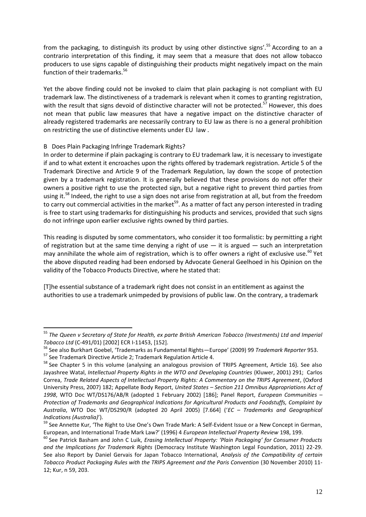from the packaging, to distinguish its product by using other distinctive signs'.<sup>55</sup> According to an a contrario interpretation of this finding, it may seem that a measure that does not allow tobacco producers to use signs capable of distinguishing their products might negatively impact on the main function of their trademarks.<sup>56</sup>

Yet the above finding could not be invoked to claim that plain packaging is not compliant with EU trademark law. The distinctiveness of a trademark is relevant when it comes to granting registration, with the result that signs devoid of distinctive character will not be protected.<sup>57</sup> However, this does not mean that public law measures that have a negative impact on the distinctive character of already registered trademarks are necessarily contrary to EU law as there is no a general prohibition on restricting the use of distinctive elements under EU law .

# B Does Plain Packaging Infringe Trademark Rights?

In order to determine if plain packaging is contrary to EU trademark law, it is necessary to investigate if and to what extent it encroaches upon the rights offered by trademark registration. Article 5 of the Trademark Directive and Article 9 of the Trademark Regulation, lay down the scope of protection given by a trademark registration. It is generally believed that these provisions do not offer their owners a positive right to use the protected sign, but a negative right to prevent third parties from using it.<sup>58</sup> Indeed, the right to use a sign does not arise from registration at all, but from the freedom to carry out commercial activities in the market<sup>59</sup>. As a matter of fact any person interested in trading is free to start using trademarks for distinguishing his products and services, provided that such signs do not infringe upon earlier exclusive rights owned by third parties.

<span id="page-12-0"></span>This reading is disputed by some commentators, who consider it too formalistic: by permitting a right of registration but at the same time denying a right of use  $-$  it is argued  $-$  such an interpretation may annihilate the whole aim of registration, which is to offer owners a right of exclusive use.<sup>60</sup> Yet the above disputed reading had been endorsed by Advocate General Geelhoed in his Opinion on the validity of the Tobacco Products Directive, where he stated that:

[T]he essential substance of a trademark right does not consist in an entitlement as against the authorities to use a trademark unimpeded by provisions of public law. On the contrary, a trademark

<sup>55</sup> *The Queen v Secretary of State for Health, ex parte British American Tobacco (Investments) Ltd and Imperial Tobacco Ltd* (C-491/01) [2002] ECR I-11453, [152].

<sup>56</sup> See also Burkhart Goebel, 'Trademarks as Fundamental Rights—Europe' (2009) 99 *Trademark Reporter* 953.

<sup>&</sup>lt;sup>57</sup> See Trademark Directive Article 2; Trademark Regulation Article 4.

<sup>&</sup>lt;sup>58</sup> See Chapter 5 in this volume (analysing an analogous provision of TRIPS Agreement, Article 16). See also Jayashree Watal, *Intellectual Property Rights in the WTO and Developing Countries* (Kluwer, 2001) 291; Carlos Correa, *Trade Related Aspects of Intellectual Property Rights: A Commentary on the TRIPS Agreement*, (Oxford University Press, 2007) 182; Appellate Body Report, *United States – Section 211 Omnibus Appropriations Act of 1998*, WTO Doc WT/DS176/AB/R (adopted 1 February 2002) [186]; Panel Report, *European Communities – Protection of Trademarks and Geographical Indications for Agricultural Products and Foodstuffs, Complaint by Australia*, WTO Doc WT/DS290/R (adopted 20 April 2005) [7.664] ('*EC – Trademarks and Geographical Indications (Australia)*').

<sup>&</sup>lt;sup>59</sup> See Annette Kur, 'The Right to Use One's Own Trade Mark: A Self-Evident Issue or a New Concept in German, European, and International Trade Mark Law?' (1996) 4 *European Intellectual Property Review* 198, 199.

<sup>60</sup> See Patrick Basham and John C Luik, *Erasing Intellectual Property: 'Plain Packaging' for Consumer Products and the Implications for Trademark Rights* (Democracy Institute Washington Legal Foundation, 2011) 22-29. See also Report by Daniel Gervais for Japan Tobacco International, *Analysis of the Compatibility of certain Tobacco Product Packaging Rules with the TRIPS Agreement and the Paris Convention* (30 November 2010) 11- 12; Kur, n [59,](#page-12-0) 203.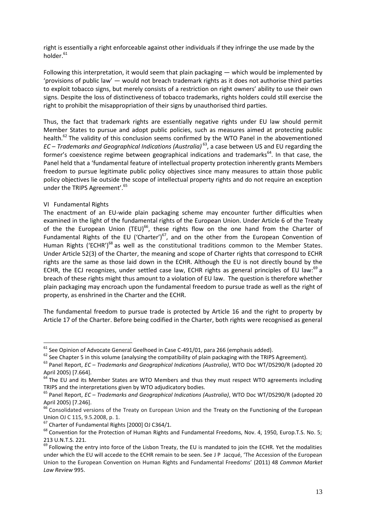right is essentially a right enforceable against other individuals if they infringe the use made by the holder.<sup>61</sup>

Following this interpretation, it would seem that plain packaging — which would be implemented by 'provisions of public law' — would not breach trademark rights as it does not authorise third parties to exploit tobacco signs, but merely consists of a restriction on right owners' ability to use their own signs. Despite the loss of distinctiveness of tobacco trademarks, rights holders could still exercise the right to prohibit the misappropriation of their signs by unauthorised third parties.

Thus, the fact that trademark rights are essentially negative rights under EU law should permit Member States to pursue and adopt public policies, such as measures aimed at protecting public health.<sup>62</sup> The validity of this conclusion seems confirmed by the WTO Panel in the abovementioned *EC – Trademarks and Geographical Indications (Australia)* <sup>63</sup>, a case between US and EU regarding the former's coexistence regime between geographical indications and trademarks<sup>64</sup>. In that case, the Panel held that a 'fundamental feature of intellectual property protection inherently grants Members freedom to pursue legitimate public policy objectives since many measures to attain those public policy objectives lie outside the scope of intellectual property rights and do not require an exception under the TRIPS Agreement'.<sup>65</sup>

# VI Fundamental Rights

1

The enactment of an EU-wide plain packaging scheme may encounter further difficulties when examined in the light of the fundamental rights of the European Union. Under Article 6 of the Treaty of the the European Union (TEU)<sup>66</sup>, these rights flow on the one hand from the Charter of Fundamental Rights of the EU ('Charter') $67$ , and on the other from the European Convention of Human Rights ('ECHR')<sup>68</sup> as well as the constitutional traditions common to the Member States. Under Article 52(3) of the Charter, the meaning and scope of Charter rights that correspond to ECHR rights are the same as those laid down in the ECHR. Although the EU is not directly bound by the ECHR, the ECJ recognizes, under settled case law, ECHR rights as general principles of EU law: $69$  a breach of these rights might thus amount to a violation of EU law. The question is therefore whether plain packaging may encroach upon the fundamental freedom to pursue trade as well as the right of property, as enshrined in the Charter and the ECHR.

The fundamental freedom to pursue trade is protected by Article 16 and the right to property by Article 17 of the Charter. Before being codified in the Charter, both rights were recognised as general

 $61$  See Opinion of Advocate General Geelhoed in Case C-491/01, para 266 (emphasis added).

 $62$  See Chapter 5 in this volume (analysing the compatibility of plain packaging with the TRIPS Agreement).

<sup>63</sup> Panel Report, *EC – Trademarks and Geographical Indications (Australia)*, WTO Doc WT/DS290/R (adopted 20 April 2005) [7.664].

 $64$  The EU and its Member States are WTO Members and thus they must respect WTO agreements including TRIPS and the interpretations given by WTO adjudicatory bodies.

<sup>65</sup> Panel Report, *EC – Trademarks and Geographical Indications (Australia)*, WTO Doc WT/DS290/R (adopted 20 April 2005) [7.246].

<sup>&</sup>lt;sup>66</sup> Consolidated versions of the Treaty on European Union and the Treaty on the Functioning of the European Union OJ C 115, 9.5.2008, p. 1.

<sup>&</sup>lt;sup>67</sup> Charter of Fundamental Rights [2000] OJ C364/1.

<sup>&</sup>lt;sup>68</sup> Convention for the Protection of Human Rights and Fundamental Freedoms, Nov. 4, 1950, Europ.T.S. No. 5; 213 U.N.T.S. 221.

 $^{69}$  Following the entry into force of the Lisbon Treaty, the EU is mandated to join the ECHR. Yet the modalities under which the EU will accede to the ECHR remain to be seen. See J P Jacqué, 'The Accession of the European Union to the European Convention on Human Rights and Fundamental Freedoms' (2011) 48 *Common Market Law Review* 995.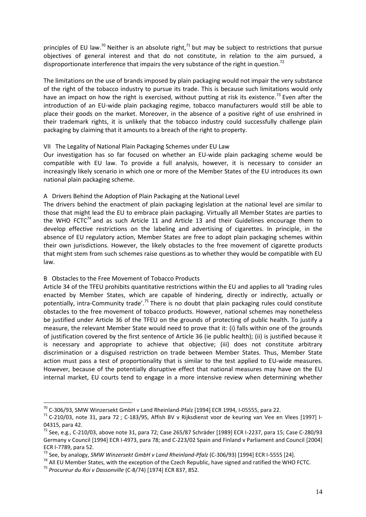principles of EU law.<sup>70</sup> Neither is an absolute right,<sup>71</sup> but may be subject to restrictions that pursue objectives of general interest and that do not constitute, in relation to the aim pursued, a disproportionate interference that impairs the very substance of the right in question.<sup>72</sup>

The limitations on the use of brands imposed by plain packaging would not impair the very substance of the right of the tobacco industry to pursue its trade. This is because such limitations would only have an impact on how the right is exercised, without putting at risk its existence.<sup>73</sup> Even after the introduction of an EU-wide plain packaging regime, tobacco manufacturers would still be able to place their goods on the market. Moreover, in the absence of a positive right of use enshrined in their trademark rights, it is unlikely that the tobacco industry could successfully challenge plain packaging by claiming that it amounts to a breach of the right to property.

# VII The Legality of National Plain Packaging Schemes under EU Law

Our investigation has so far focused on whether an EU-wide plain packaging scheme would be compatible with EU law. To provide a full analysis, however, it is necessary to consider an increasingly likely scenario in which one or more of the Member States of the EU introduces its own national plain packaging scheme.

# A Drivers Behind the Adoption of Plain Packaging at the National Level

The drivers behind the enactment of plain packaging legislation at the national level are similar to those that might lead the EU to embrace plain packaging. Virtually all Member States are parties to the WHO FCTC<sup>74</sup> and as such Article 11 and Article 13 and their Guidelines encourage them to develop effective restrictions on the labeling and advertising of cigarettes. In principle, in the absence of EU regulatory action, Member States are free to adopt plain packaging schemes within their own jurisdictions. However, the likely obstacles to the free movement of cigarette products that might stem from such schemes raise questions as to whether they would be compatible with EU law.

# B Obstacles to the Free Movement of Tobacco Products

Article 34 of the TFEU prohibits quantitative restrictions within the EU and applies to all 'trading rules enacted by Member States, which are capable of hindering, directly or indirectly, actually or potentially, intra-Community trade'.<sup>75</sup> There is no doubt that plain packaging rules could constitute obstacles to the free movement of tobacco products. However, national schemes may nonetheless be justified under Article 36 of the TFEU on the grounds of protecting of public health. To justify a measure, the relevant Member State would need to prove that it: (i) falls within one of the grounds of justification covered by the first sentence of Article 36 (ie public health); (ii) is justified because it is necessary and appropriate to achieve that objective; (iii) does not constitute arbitrary discrimination or a disguised restriction on trade between Member States. Thus, Member State action must pass a test of proportionality that is similar to the test applied to EU-wide measures. However, because of the potentially disruptive effect that national measures may have on the EU internal market, EU courts tend to engage in a more intensive review when determining whether

 $\overline{a}$ 

 $70$  C-306/93, SMW Winzersekt GmbH v Land Rheinland-Pfalz [1994] ECR 1994, I-05555, para 22.

 $71$  C-210/03, note 31, para 72; C-183/95, Affish BV v Rijksdienst voor de keuring van Vee en Vlees [1997] I-04315, para 42.

 $72$  See, e.g., C-210/03, above note 31, para 72; Case 265/87 Schräder [1989] ECR I-2237, para 15; Case C-280/93 Germany v Council [1994] ECR I-4973, para 78; and C-223/02 Spain and Finland v Parliament and Council [2004] ECR I-7789, para 52.

<sup>73</sup> See, by analogy, *SMW Winzersekt GmbH v Land Rheinland-Pfalz* (C-306/93) [1994] ECR I-5555 [24].

<sup>&</sup>lt;sup>74</sup> All EU Member States, with the exception of the Czech Republic, have signed and ratified the WHO FCTC.

<sup>75</sup> *Procureur du Roi v Dassonville* (C-8/74) [1974] ECR 837, 852.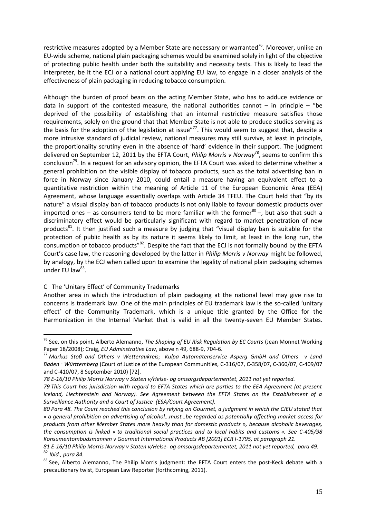restrictive measures adopted by a Member State are necessary or warranted<sup>76</sup>. Moreover, unlike an EU-wide scheme, national plain packaging schemes would be examined solely in light of the objective of protecting public health under both the suitability and necessity tests. This is likely to lead the interpreter, be it the ECJ or a national court applying EU law, to engage in a closer analysis of the effectiveness of plain packaging in reducing tobacco consumption.

Although the burden of proof bears on the acting Member State, who has to adduce evidence or data in support of the contested measure, the national authorities cannot  $-$  in principle  $-$  "be deprived of the possibility of establishing that an internal restrictive measure satisfies those requirements, solely on the ground that that Member State is not able to produce studies serving as the basis for the adoption of the legislation at issue" $77$ . This would seem to suggest that, despite a more intrusive standard of judicial review, national measures may still survive, at least in principle, the proportionality scrutiny even in the absence of 'hard' evidence in their support. The judgment delivered on September 12, 2011 by the EFTA Court, *Philip Morris v Norway*<sup>78</sup>, seems to confirm this conclusion<sup>79</sup>. In a request for an advisory opinion, the EFTA Court was asked to determine whether a general prohibition on the visible display of tobacco products, such as the total advertising ban in force in Norway since January 2010, could entail a measure having an equivalent effect to a quantitative restriction within the meaning of Article 11 of the European Economic Area (EEA) Agreement, whose language essentially overlaps with Article 34 TFEU. The Court held that "by its nature" a visual display ban of tobacco products is not only liable to favour domestic products over imported ones – as consumers tend to be more familiar with the former<sup>80</sup> –, but also that such a discriminatory effect would be particularly significant with regard to market penetration of new products<sup>81</sup>. It then justified such a measure by judging that "visual display ban is suitable for the protection of public health as by its nature it seems likely to limit, at least in the long run, the consumption of tobacco products"<sup>82</sup>. Despite the fact that the ECJ is not formally bound by the EFTA Court's case law, the reasoning developed by the latter in *Philip Morris v Norway* might be followed, by analogy, by the ECJ when called upon to examine the legality of national plain packaging schemes under EU law<sup>83</sup>.

# C The 'Unitary Effect' of Community Trademarks

1

Another area in which the introduction of plain packaging at the national level may give rise to concerns is trademark law. One of the main principles of EU trademark law is the so-called 'unitary effect' of the Community Trademark, which is a unique title granted by the Office for the Harmonization in the Internal Market that is valid in all the twenty-seven EU Member States.

<sup>76</sup> See, on this point, Alberto Alemanno, *The Shaping of EU Risk Regulation by EC Courts* (Jean Monnet Working Paper 18/2008); Craig, *EU Adminstrative Law*, above n 49, 688-9, 704-6.

<sup>77</sup> *Markus Stoβ and Others v Wetteraukreis; Kulpa Automatenservice Asperg GmbH and Others v Land Baden*‑ *Württemberg* (Court of Justice of the European Communities, C-316/07, C-358/07, C-360/07, C-409/07 and C-410/07, 8 September 2010) [72].

*<sup>78</sup> E-16/10 Philip Morris Norway v Staten v/Helse- og omsorgsdepartementet, 2011 not yet reported.*

*<sup>79</sup> This Court has jurisdiction with regard to EFTA States which are parties to the EEA Agreement (at present Iceland, Liechtenstein and Norway). See Agreement between the EFTA States on the Establishment of a Surveillance Authority and a Court of Justice (ESA/Court Agreement).*

*<sup>80</sup> Para 48. The Court reached this conclusion by relying on Gourmet, a judgment in which the CJEU stated that « a general prohibition on advertising of alcohol…must…be regarded as potentially affecting market access for products from other Member States more heavily than for domestic products », because alcoholic beverages, the consumption is linked « to traditional social practices and to local habits and customs ». See C-405/98 Konsumentombudsmannen v Gourmet International Products AB [2001] ECR I-1795, at paragraph 21.*

*<sup>81</sup> E-16/10 Philip Morris Norway v Staten v/Helse- og omsorgsdepartementet, 2011 not yet reported, para 49.*  <sup>82</sup> *Ibid., para 84.*

<sup>83</sup> See, Alberto Alemanno, The Philip Morris judgment: the EFTA Court enters the post-Keck debate with a precautionary twist, European Law Reporter (forthcoming, 2011).